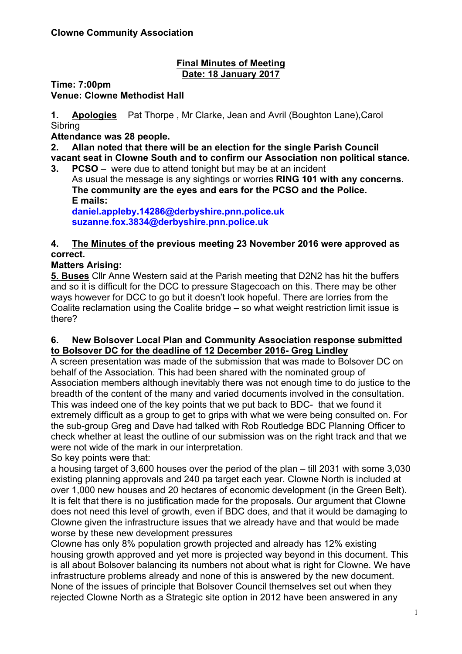#### **Final Minutes of Meeting Date: 18 January 2017**

**Time: 7:00pm**

**Venue: Clowne Methodist Hall**

**1. Apologies** Pat Thorpe , Mr Clarke, Jean and Avril (Boughton Lane),Carol **Sibring** 

**Attendance was 28 people.**

**2. Allan noted that there will be an election for the single Parish Council vacant seat in Clowne South and to confirm our Association non political stance.**

**3. PCSO** – were due to attend tonight but may be at an incident As usual the message is any sightings or worries **RING 101 with any concerns. The community are the eyes and ears for the PCSO and the Police. E mails: daniel.appleby.14286@derbyshire.pnn.police.uk**

**suzanne.fox.3834@derbyshire.pnn.police.uk**

### **4. The Minutes of the previous meeting 23 November 2016 were approved as correct.**

# **Matters Arising:**

**5. Buses** Cllr Anne Western said at the Parish meeting that D2N2 has hit the buffers and so it is difficult for the DCC to pressure Stagecoach on this. There may be other ways however for DCC to go but it doesn't look hopeful. There are lorries from the Coalite reclamation using the Coalite bridge – so what weight restriction limit issue is there?

#### **6. New Bolsover Local Plan and Community Association response submitted to Bolsover DC for the deadline of 12 December 2016- Greg Lindley**

A screen presentation was made of the submission that was made to Bolsover DC on behalf of the Association. This had been shared with the nominated group of Association members although inevitably there was not enough time to do justice to the breadth of the content of the many and varied documents involved in the consultation. This was indeed one of the key points that we put back to BDC- that we found it extremely difficult as a group to get to grips with what we were being consulted on. For the sub-group Greg and Dave had talked with Rob Routledge BDC Planning Officer to check whether at least the outline of our submission was on the right track and that we were not wide of the mark in our interpretation.

So key points were that:

a housing target of 3,600 houses over the period of the plan – till 2031 with some 3,030 existing planning approvals and 240 pa target each year. Clowne North is included at over 1,000 new houses and 20 hectares of economic development (in the Green Belt). It is felt that there is no justification made for the proposals. Our argument that Clowne does not need this level of growth, even if BDC does, and that it would be damaging to Clowne given the infrastructure issues that we already have and that would be made worse by these new development pressures

Clowne has only 8% population growth projected and already has 12% existing housing growth approved and yet more is projected way beyond in this document. This is all about Bolsover balancing its numbers not about what is right for Clowne. We have infrastructure problems already and none of this is answered by the new document. None of the issues of principle that Bolsover Council themselves set out when they rejected Clowne North as a Strategic site option in 2012 have been answered in any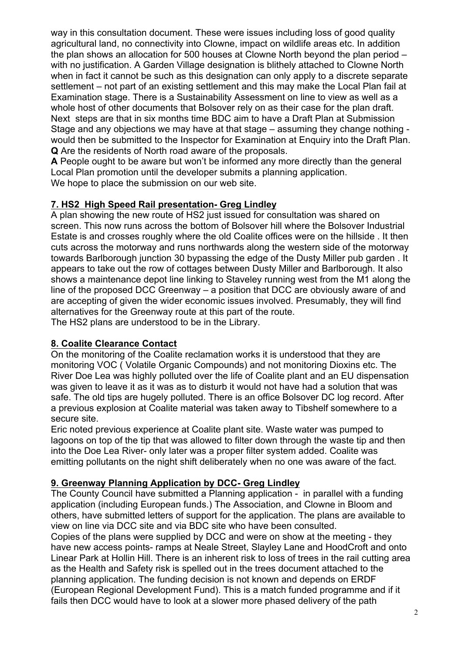way in this consultation document. These were issues including loss of good quality agricultural land, no connectivity into Clowne, impact on wildlife areas etc. In addition the plan shows an allocation for 500 houses at Clowne North beyond the plan period – with no justification. A Garden Village designation is blithely attached to Clowne North when in fact it cannot be such as this designation can only apply to a discrete separate settlement – not part of an existing settlement and this may make the Local Plan fail at Examination stage. There is a Sustainability Assessment on line to view as well as a whole host of other documents that Bolsover rely on as their case for the plan draft. Next steps are that in six months time BDC aim to have a Draft Plan at Submission Stage and any objections we may have at that stage – assuming they change nothing would then be submitted to the Inspector for Examination at Enquiry into the Draft Plan. **Q** Are the residents of North road aware of the proposals.

**A** People ought to be aware but won't be informed any more directly than the general Local Plan promotion until the developer submits a planning application. We hope to place the submission on our web site.

#### **7. HS2 High Speed Rail presentation- Greg Lindley**

A plan showing the new route of HS2 just issued for consultation was shared on screen. This now runs across the bottom of Bolsover hill where the Bolsover Industrial Estate is and crosses roughly where the old Coalite offices were on the hillside . It then cuts across the motorway and runs northwards along the western side of the motorway towards Barlborough junction 30 bypassing the edge of the Dusty Miller pub garden . It appears to take out the row of cottages between Dusty Miller and Barlborough. It also shows a maintenance depot line linking to Staveley running west from the M1 along the line of the proposed DCC Greenway – a position that DCC are obviously aware of and are accepting of given the wider economic issues involved. Presumably, they will find alternatives for the Greenway route at this part of the route. The HS2 plans are understood to be in the Library.

**8. Coalite Clearance Contact**

On the monitoring of the Coalite reclamation works it is understood that they are monitoring VOC ( Volatile Organic Compounds) and not monitoring Dioxins etc. The River Doe Lea was highly polluted over the life of Coalite plant and an EU dispensation was given to leave it as it was as to disturb it would not have had a solution that was safe. The old tips are hugely polluted. There is an office Bolsover DC log record. After a previous explosion at Coalite material was taken away to Tibshelf somewhere to a secure site.

Eric noted previous experience at Coalite plant site. Waste water was pumped to lagoons on top of the tip that was allowed to filter down through the waste tip and then into the Doe Lea River- only later was a proper filter system added. Coalite was emitting pollutants on the night shift deliberately when no one was aware of the fact.

#### **9. Greenway Planning Application by DCC- Greg Lindley**

The County Council have submitted a Planning application - in parallel with a funding application (including European funds.) The Association, and Clowne in Bloom and others, have submitted letters of support for the application. The plans are available to view on line via DCC site and via BDC site who have been consulted.

Copies of the plans were supplied by DCC and were on show at the meeting - they have new access points- ramps at Neale Street, Slayley Lane and HoodCroft and onto Linear Park at Hollin Hill. There is an inherent risk to loss of trees in the rail cutting area as the Health and Safety risk is spelled out in the trees document attached to the planning application. The funding decision is not known and depends on ERDF (European Regional Development Fund). This is a match funded programme and if it fails then DCC would have to look at a slower more phased delivery of the path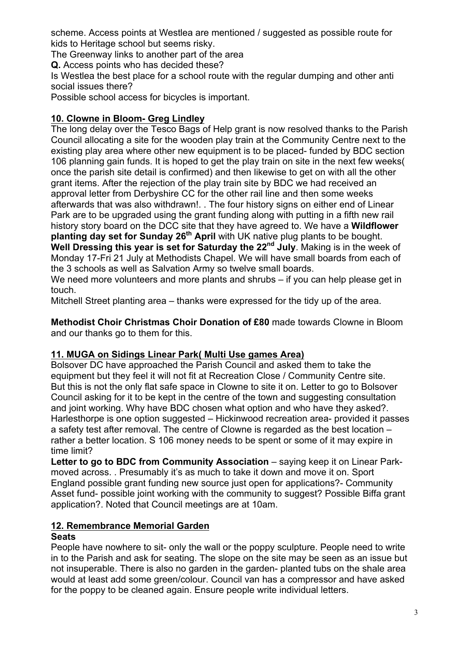scheme. Access points at Westlea are mentioned / suggested as possible route for kids to Heritage school but seems risky.

The Greenway links to another part of the area

**Q.** Access points who has decided these?

Is Westlea the best place for a school route with the regular dumping and other anti social issues there?

Possible school access for bicycles is important.

# **10. Clowne in Bloom- Greg Lindley**

The long delay over the Tesco Bags of Help grant is now resolved thanks to the Parish Council allocating a site for the wooden play train at the Community Centre next to the existing play area where other new equipment is to be placed- funded by BDC section 106 planning gain funds. It is hoped to get the play train on site in the next few weeks( once the parish site detail is confirmed) and then likewise to get on with all the other grant items. After the rejection of the play train site by BDC we had received an approval letter from Derbyshire CC for the other rail line and then some weeks afterwards that was also withdrawn!. . The four history signs on either end of Linear Park are to be upgraded using the grant funding along with putting in a fifth new rail history story board on the DCC site that they have agreed to. We have a **Wildflower planting day set for Sunday 26th April** with UK native plug plants to be bought. **Well Dressing this year is set for Saturday the 22nd July**. Making is in the week of Monday 17-Fri 21 July at Methodists Chapel. We will have small boards from each of the 3 schools as well as Salvation Army so twelve small boards.

We need more volunteers and more plants and shrubs – if you can help please get in touch.

Mitchell Street planting area – thanks were expressed for the tidy up of the area.

**Methodist Choir Christmas Choir Donation of £80** made towards Clowne in Bloom and our thanks go to them for this.

### **11. MUGA on Sidings Linear Park( Multi Use games Area)**

Bolsover DC have approached the Parish Council and asked them to take the equipment but they feel it will not fit at Recreation Close / Community Centre site. But this is not the only flat safe space in Clowne to site it on. Letter to go to Bolsover Council asking for it to be kept in the centre of the town and suggesting consultation and joint working. Why have BDC chosen what option and who have they asked?. Harlesthorpe is one option suggested – Hickinwood recreation area- provided it passes a safety test after removal. The centre of Clowne is regarded as the best location – rather a better location. S 106 money needs to be spent or some of it may expire in time limit?

**Letter to go to BDC from Community Association** – saying keep it on Linear Parkmoved across. . Presumably it's as much to take it down and move it on. Sport England possible grant funding new source just open for applications?- Community Asset fund- possible joint working with the community to suggest? Possible Biffa grant application?. Noted that Council meetings are at 10am.

# **12. Remembrance Memorial Garden**

#### **Seats**

People have nowhere to sit- only the wall or the poppy sculpture. People need to write in to the Parish and ask for seating. The slope on the site may be seen as an issue but not insuperable. There is also no garden in the garden- planted tubs on the shale area would at least add some green/colour. Council van has a compressor and have asked for the poppy to be cleaned again. Ensure people write individual letters.